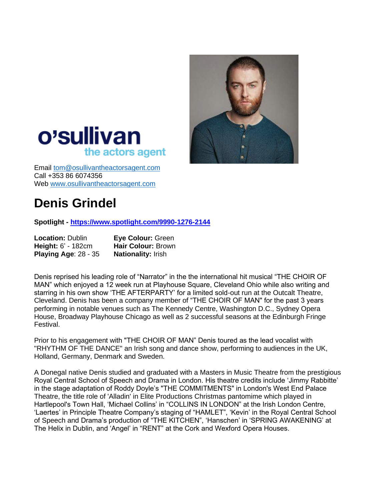



Email [tom@osullivantheactorsagent.com](mailto:tom@osullivantheactorsagent.com) Call +353 86 6074356 Web [www.osullivantheactorsagent.com](http://www.osullivantheactorsagent.com/)

# **Denis Grindel**

**Spotlight - <https://www.spotlight.com/9990-1276-2144>**

| <b>Location: Dublin</b>     | <b>Eye Colour: Green</b>  |
|-----------------------------|---------------------------|
| <b>Height: 6' - 182cm</b>   | Hair Colour: Brown        |
| <b>Playing Age: 28 - 35</b> | <b>Nationality: Irish</b> |

Denis reprised his leading role of "Narrator" in the the international hit musical "THE CHOIR OF MAN" which enjoyed a 12 week run at Playhouse Square, Cleveland Ohio while also writing and starring in his own show 'THE AFTERPARTY' for a limited sold-out run at the Outcalt Theatre, Cleveland. Denis has been a company member of "THE CHOIR OF MAN" for the past 3 years performing in notable venues such as The Kennedy Centre, Washington D.C., Sydney Opera House, Broadway Playhouse Chicago as well as 2 successful seasons at the Edinburgh Fringe Festival.

Prior to his engagement with "THE CHOIR OF MAN" Denis toured as the lead vocalist with "RHYTHM OF THE DANCE" an Irish song and dance show, performing to audiences in the UK, Holland, Germany, Denmark and Sweden.

A Donegal native Denis studied and graduated with a Masters in Music Theatre from the prestigious Royal Central School of Speech and Drama in London. His theatre credits include 'Jimmy Rabbitte' in the stage adaptation of Roddy Doyle's "THE COMMITMENTS" in London's West End Palace Theatre, the title role of 'Alladin' in Elite Productions Christmas pantomime which played in Hartlepool's Town Hall, 'Michael Collins' in "COLLINS IN LONDON" at the Irish London Centre, 'Laertes' in Principle Theatre Company's staging of "HAMLET", 'Kevin' in the Royal Central School of Speech and Drama's production of "THE KITCHEN", 'Hanschen' in 'SPRING AWAKENING' at The Helix in Dublin, and 'Angel' in "RENT" at the Cork and Wexford Opera Houses.